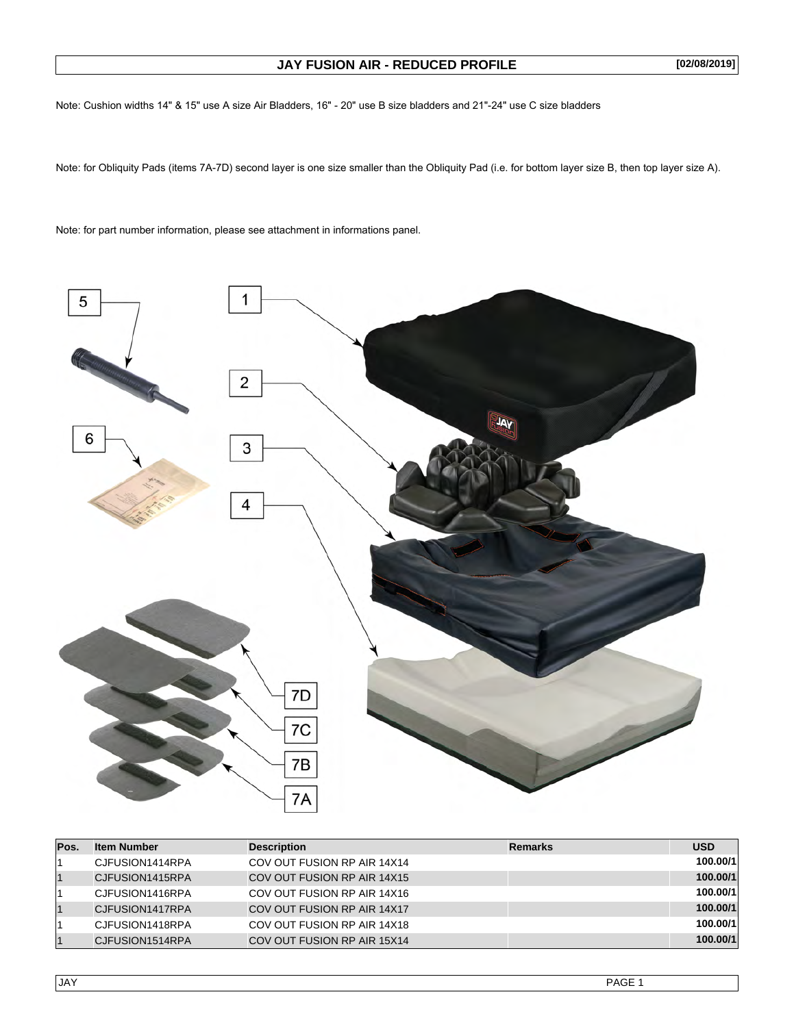## **JAY FUSION AIR - REDUCED PROFILE**

**[02/08/2019]**

Note: Cushion widths 14" & 15" use A size Air Bladders, 16" - 20" use B size bladders and 21"-24" use C size bladders

Note: for Obliquity Pads (items 7A-7D) second layer is one size smaller than the Obliquity Pad (i.e. for bottom layer size B, then top layer size A).

Note: for part number information, please see attachment in informations panel.



| Pos. | <b>Item Number</b> | <b>Description</b>          | <b>Remarks</b> | <b>USD</b> |
|------|--------------------|-----------------------------|----------------|------------|
|      | CJFUSION1414RPA    | COV OUT FUSION RP AIR 14X14 |                | 100.00/1   |
|      | CJFUSION1415RPA    | COV OUT FUSION RP AIR 14X15 |                | 100.00/1   |
|      | CJFUSION1416RPA    | COV OUT FUSION RP AIR 14X16 |                | 100.00/1   |
|      | CJFUSION1417RPA    | COV OUT FUSION RP AIR 14X17 |                | 100.00/1   |
|      | CJFUSION1418RPA    | COV OUT FUSION RP AIR 14X18 |                | 100.00/1   |
|      | CJFUSION1514RPA    | COV OUT FUSION RP AIR 15X14 |                | 100.00/1   |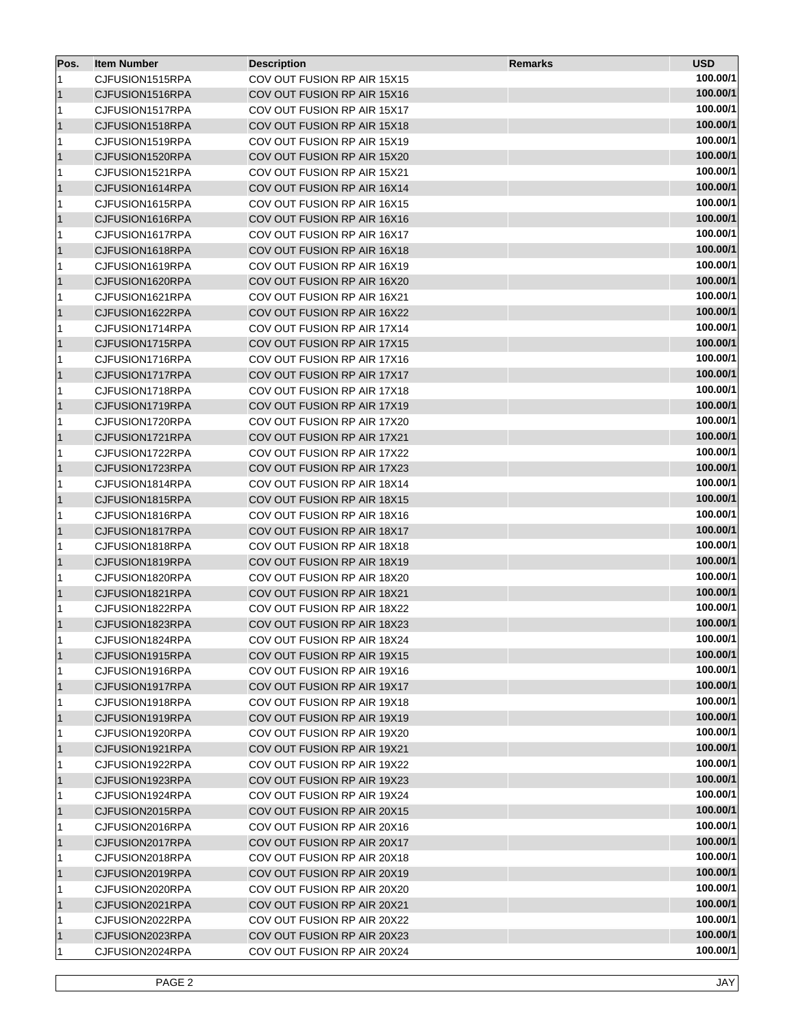| Pos.      | <b>Item Number</b> | <b>Description</b>          | <b>Remarks</b> | <b>USD</b> |
|-----------|--------------------|-----------------------------|----------------|------------|
| 11        | CJFUSION1515RPA    | COV OUT FUSION RP AIR 15X15 |                | 100.00/1   |
| 11        | CJFUSION1516RPA    | COV OUT FUSION RP AIR 15X16 |                | 100.00/1   |
| 11        | CJFUSION1517RPA    | COV OUT FUSION RP AIR 15X17 |                | 100.00/1   |
| $\vert$ 1 | CJFUSION1518RPA    | COV OUT FUSION RP AIR 15X18 |                | 100.00/1   |
| 11        | CJFUSION1519RPA    | COV OUT FUSION RP AIR 15X19 |                | 100.00/1   |
| $\vert$ 1 | CJFUSION1520RPA    | COV OUT FUSION RP AIR 15X20 |                | 100.00/1   |
| 11        | CJFUSION1521RPA    | COV OUT FUSION RP AIR 15X21 |                | 100.00/1   |
| $\vert$ 1 | CJFUSION1614RPA    | COV OUT FUSION RP AIR 16X14 |                | 100.00/1   |
| 11        | CJFUSION1615RPA    | COV OUT FUSION RP AIR 16X15 |                | 100.00/1   |
| $\vert$ 1 | CJFUSION1616RPA    | COV OUT FUSION RP AIR 16X16 |                | 100.00/1   |
| 11        | CJFUSION1617RPA    | COV OUT FUSION RP AIR 16X17 |                | 100.00/1   |
| $\vert$ 1 | CJFUSION1618RPA    | COV OUT FUSION RP AIR 16X18 |                | 100.00/1   |
| 11        | CJFUSION1619RPA    | COV OUT FUSION RP AIR 16X19 |                | 100.00/1   |
| $\vert$ 1 | CJFUSION1620RPA    | COV OUT FUSION RP AIR 16X20 |                | 100.00/1   |
| 11        | CJFUSION1621RPA    | COV OUT FUSION RP AIR 16X21 |                | 100.00/1   |
| $\vert$ 1 | CJFUSION1622RPA    | COV OUT FUSION RP AIR 16X22 |                | 100.00/1   |
| 11        | CJFUSION1714RPA    | COV OUT FUSION RP AIR 17X14 |                | 100.00/1   |
| $\vert$ 1 | CJFUSION1715RPA    | COV OUT FUSION RP AIR 17X15 |                | 100.00/1   |
| 11        | CJFUSION1716RPA    | COV OUT FUSION RP AIR 17X16 |                | 100.00/1   |
| $\vert$ 1 | CJFUSION1717RPA    | COV OUT FUSION RP AIR 17X17 |                | 100.00/1   |
| 11        | CJFUSION1718RPA    | COV OUT FUSION RP AIR 17X18 |                | 100.00/1   |
| $\vert$ 1 | CJFUSION1719RPA    | COV OUT FUSION RP AIR 17X19 |                | 100.00/1   |
| 11        | CJFUSION1720RPA    | COV OUT FUSION RP AIR 17X20 |                | 100.00/1   |
| $\vert$ 1 | CJFUSION1721RPA    | COV OUT FUSION RP AIR 17X21 |                | 100.00/1   |
| 11        | CJFUSION1722RPA    | COV OUT FUSION RP AIR 17X22 |                | 100.00/1   |
| $\vert$ 1 | CJFUSION1723RPA    | COV OUT FUSION RP AIR 17X23 |                | 100.00/1   |
| 11        | CJFUSION1814RPA    | COV OUT FUSION RP AIR 18X14 |                | 100.00/1   |
| $\vert$ 1 | CJFUSION1815RPA    | COV OUT FUSION RP AIR 18X15 |                | 100.00/1   |
| 11        | CJFUSION1816RPA    | COV OUT FUSION RP AIR 18X16 |                | 100.00/1   |
| $\vert$ 1 | CJFUSION1817RPA    | COV OUT FUSION RP AIR 18X17 |                | 100.00/1   |
| 11        | CJFUSION1818RPA    | COV OUT FUSION RP AIR 18X18 |                | 100.00/1   |
| $\vert$ 1 | CJFUSION1819RPA    | COV OUT FUSION RP AIR 18X19 |                | 100.00/1   |
| 11        | CJFUSION1820RPA    | COV OUT FUSION RP AIR 18X20 |                | 100.00/1   |
| $\vert$ 1 | CJFUSION1821RPA    | COV OUT FUSION RP AIR 18X21 |                | 100.00/1   |
| 11        | CJFUSION1822RPA    | COV OUT FUSION RP AIR 18X22 |                | 100.00/1   |
| $\vert$ 1 | CJFUSION1823RPA    | COV OUT FUSION RP AIR 18X23 |                | 100.00/1   |
| 11        | CJFUSION1824RPA    | COV OUT FUSION RP AIR 18X24 |                | 100.00/1   |
| $\vert$ 1 | CJFUSION1915RPA    | COV OUT FUSION RP AIR 19X15 |                | 100.00/1   |
| 1         | CJFUSION1916RPA    | COV OUT FUSION RP AIR 19X16 |                | 100.00/1   |
| $\vert$ 1 | CJFUSION1917RPA    | COV OUT FUSION RP AIR 19X17 |                | 100.00/1   |
| 11        | CJFUSION1918RPA    | COV OUT FUSION RP AIR 19X18 |                | 100.00/1   |
| $\vert$ 1 | CJFUSION1919RPA    | COV OUT FUSION RP AIR 19X19 |                | 100.00/1   |
| 11        | CJFUSION1920RPA    | COV OUT FUSION RP AIR 19X20 |                | 100.00/1   |
| $\vert$ 1 | CJFUSION1921RPA    | COV OUT FUSION RP AIR 19X21 |                | 100.00/1   |
| 11        | CJFUSION1922RPA    | COV OUT FUSION RP AIR 19X22 |                | 100.00/1   |
| $\vert$ 1 | CJFUSION1923RPA    | COV OUT FUSION RP AIR 19X23 |                | 100.00/1   |
| 11        | CJFUSION1924RPA    | COV OUT FUSION RP AIR 19X24 |                | 100.00/1   |
| $\vert$ 1 | CJFUSION2015RPA    | COV OUT FUSION RP AIR 20X15 |                | 100.00/1   |
| 11        | CJFUSION2016RPA    | COV OUT FUSION RP AIR 20X16 |                | 100.00/1   |
| $\vert$ 1 | CJFUSION2017RPA    | COV OUT FUSION RP AIR 20X17 |                | 100.00/1   |
| 11        | CJFUSION2018RPA    | COV OUT FUSION RP AIR 20X18 |                | 100.00/1   |
| $\vert$ 1 | CJFUSION2019RPA    | COV OUT FUSION RP AIR 20X19 |                | 100.00/1   |
| 11        | CJFUSION2020RPA    | COV OUT FUSION RP AIR 20X20 |                | 100.00/1   |
| $\vert$ 1 | CJFUSION2021RPA    | COV OUT FUSION RP AIR 20X21 |                | 100.00/1   |
| 11        | CJFUSION2022RPA    | COV OUT FUSION RP AIR 20X22 |                | 100.00/1   |
| $\vert$ 1 | CJFUSION2023RPA    | COV OUT FUSION RP AIR 20X23 |                | 100.00/1   |
| 1         | CJFUSION2024RPA    | COV OUT FUSION RP AIR 20X24 |                | 100.00/1   |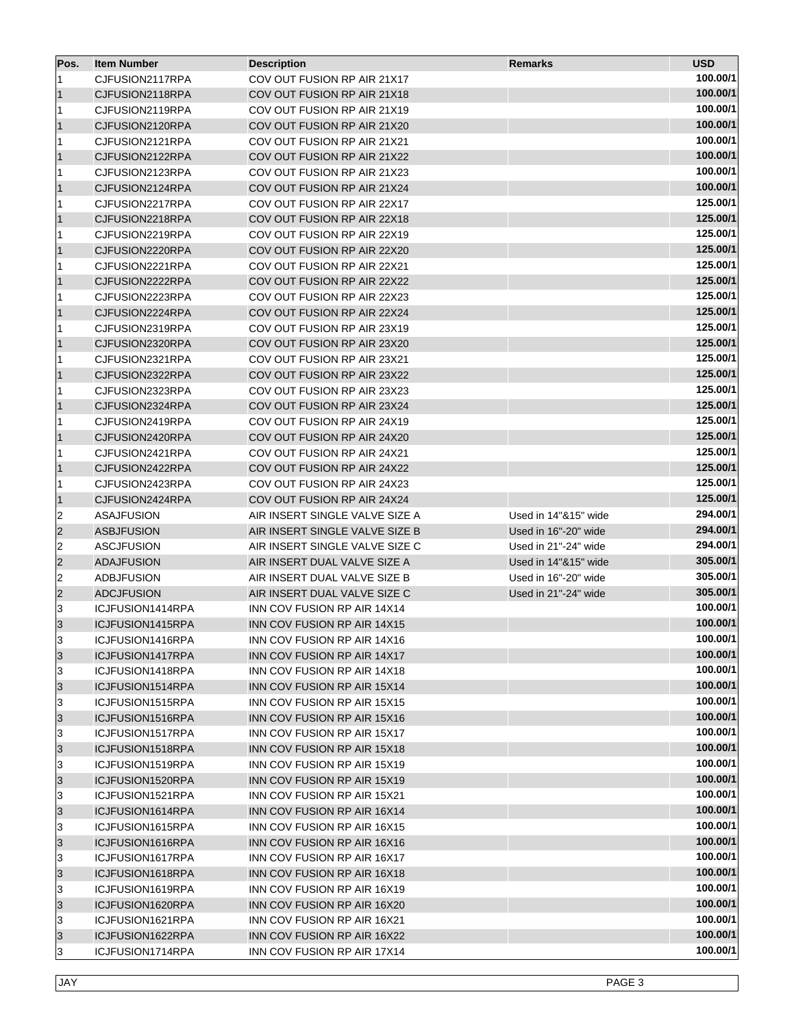| Pos.            | <b>Item Number</b> | <b>Description</b>             | <b>Remarks</b>       | <b>USD</b> |
|-----------------|--------------------|--------------------------------|----------------------|------------|
| 11              | CJFUSION2117RPA    | COV OUT FUSION RP AIR 21X17    |                      | 100.00/1   |
| 11              | CJFUSION2118RPA    | COV OUT FUSION RP AIR 21X18    |                      | 100.00/1   |
| 11              | CJFUSION2119RPA    | COV OUT FUSION RP AIR 21X19    |                      | 100.00/1   |
| $\vert$ 1       | CJFUSION2120RPA    | COV OUT FUSION RP AIR 21X20    |                      | 100.00/1   |
| 11              | CJFUSION2121RPA    | COV OUT FUSION RP AIR 21X21    |                      | 100.00/1   |
| $\vert$ 1       | CJFUSION2122RPA    | COV OUT FUSION RP AIR 21X22    |                      | 100.00/1   |
| 11              | CJFUSION2123RPA    | COV OUT FUSION RP AIR 21X23    |                      | 100.00/1   |
| $\vert$ 1       | CJFUSION2124RPA    | COV OUT FUSION RP AIR 21X24    |                      | 100.00/1   |
| 11              | CJFUSION2217RPA    | COV OUT FUSION RP AIR 22X17    |                      | 125.00/1   |
| $\vert$ 1       | CJFUSION2218RPA    | COV OUT FUSION RP AIR 22X18    |                      | 125.00/1   |
| 11              | CJFUSION2219RPA    | COV OUT FUSION RP AIR 22X19    |                      | 125.00/1   |
| $\vert$ 1       | CJFUSION2220RPA    | COV OUT FUSION RP AIR 22X20    |                      | 125.00/1   |
| 11              | CJFUSION2221RPA    | COV OUT FUSION RP AIR 22X21    |                      | 125.00/1   |
| $\vert$ 1       | CJFUSION2222RPA    | COV OUT FUSION RP AIR 22X22    |                      | 125.00/1   |
| 11              | CJFUSION2223RPA    | COV OUT FUSION RP AIR 22X23    |                      | 125.00/1   |
| $\vert$ 1       | CJFUSION2224RPA    | COV OUT FUSION RP AIR 22X24    |                      | 125.00/1   |
| 11              | CJFUSION2319RPA    | COV OUT FUSION RP AIR 23X19    |                      | 125.00/1   |
| $\vert$ 1       | CJFUSION2320RPA    | COV OUT FUSION RP AIR 23X20    |                      | 125.00/1   |
| 11              | CJFUSION2321RPA    | COV OUT FUSION RP AIR 23X21    |                      | 125.00/1   |
| $\vert$ 1       | CJFUSION2322RPA    | COV OUT FUSION RP AIR 23X22    |                      | 125.00/1   |
| 11              | CJFUSION2323RPA    | COV OUT FUSION RP AIR 23X23    |                      | 125.00/1   |
| $\vert$ 1       | CJFUSION2324RPA    | COV OUT FUSION RP AIR 23X24    |                      | 125.00/1   |
| 11              | CJFUSION2419RPA    | COV OUT FUSION RP AIR 24X19    |                      | 125.00/1   |
| $\vert$ 1       | CJFUSION2420RPA    | COV OUT FUSION RP AIR 24X20    |                      | 125.00/1   |
| 11              | CJFUSION2421RPA    | COV OUT FUSION RP AIR 24X21    |                      | 125.00/1   |
| $\vert$ 1       | CJFUSION2422RPA    | COV OUT FUSION RP AIR 24X22    |                      | 125.00/1   |
| 11              | CJFUSION2423RPA    | COV OUT FUSION RP AIR 24X23    |                      | 125.00/1   |
| $\vert$ 1       | CJFUSION2424RPA    | COV OUT FUSION RP AIR 24X24    |                      | 125.00/1   |
| 2               | <b>ASAJFUSION</b>  | AIR INSERT SINGLE VALVE SIZE A | Used in 14"&15" wide | 294.00/1   |
| 2               | <b>ASBJFUSION</b>  | AIR INSERT SINGLE VALVE SIZE B | Used in 16"-20" wide | 294.00/1   |
| 2               | <b>ASCJFUSION</b>  | AIR INSERT SINGLE VALVE SIZE C | Used in 21"-24" wide | 294.00/1   |
| 2               | <b>ADAJFUSION</b>  | AIR INSERT DUAL VALVE SIZE A   | Used in 14"&15" wide | 305.00/1   |
| 2               | <b>ADBJFUSION</b>  | AIR INSERT DUAL VALVE SIZE B   | Used in 16"-20" wide | 305.00/1   |
| 2               | <b>ADCJFUSION</b>  | AIR INSERT DUAL VALVE SIZE C   | Used in 21"-24" wide | 305.00/1   |
| 3               | ICJFUSION1414RPA   | INN COV FUSION RP AIR 14X14    |                      | 100.00/1   |
| $\overline{3}$  | ICJFUSION1415RPA   | INN COV FUSION RP AIR 14X15    |                      | 100.00/1   |
| 3               | ICJFUSION1416RPA   | INN COV FUSION RP AIR 14X16    |                      | 100.00/1   |
| $\vert 3 \vert$ | ICJFUSION1417RPA   | INN COV FUSION RP AIR 14X17    |                      | 100.00/1   |
| 3               | ICJFUSION1418RPA   | INN COV FUSION RP AIR 14X18    |                      | 100.00/1   |
| $\vert$ 3       | ICJFUSION1514RPA   | INN COV FUSION RP AIR 15X14    |                      | 100.00/1   |
| 3               | ICJFUSION1515RPA   | INN COV FUSION RP AIR 15X15    |                      | 100.00/1   |
| $\vert$ 3       | ICJFUSION1516RPA   | INN COV FUSION RP AIR 15X16    |                      | 100.00/1   |
| 3               | ICJFUSION1517RPA   | INN COV FUSION RP AIR 15X17    |                      | 100.00/1   |
| $\vert$ 3       | ICJFUSION1518RPA   | INN COV FUSION RP AIR 15X18    |                      | 100.00/1   |
| 3               | ICJFUSION1519RPA   | INN COV FUSION RP AIR 15X19    |                      | 100.00/1   |
| $\vert$ 3       | ICJFUSION1520RPA   | INN COV FUSION RP AIR 15X19    |                      | 100.00/1   |
| 3               | ICJFUSION1521RPA   | INN COV FUSION RP AIR 15X21    |                      | 100.00/1   |
| $\vert$ 3       | ICJFUSION1614RPA   | INN COV FUSION RP AIR 16X14    |                      | 100.00/1   |
| 3               | ICJFUSION1615RPA   | INN COV FUSION RP AIR 16X15    |                      | 100.00/1   |
| 3               | ICJFUSION1616RPA   | INN COV FUSION RP AIR 16X16    |                      | 100.00/1   |
| 3               | ICJFUSION1617RPA   | INN COV FUSION RP AIR 16X17    |                      | 100.00/1   |
| 3               | ICJFUSION1618RPA   | INN COV FUSION RP AIR 16X18    |                      | 100.00/1   |
| 3               | ICJFUSION1619RPA   | INN COV FUSION RP AIR 16X19    |                      | 100.00/1   |
| 3               | ICJFUSION1620RPA   | INN COV FUSION RP AIR 16X20    |                      | 100.00/1   |
| 3               | ICJFUSION1621RPA   | INN COV FUSION RP AIR 16X21    |                      | 100.00/1   |
| 3               | ICJFUSION1622RPA   | INN COV FUSION RP AIR 16X22    |                      | 100.00/1   |
| 3               | ICJFUSION1714RPA   | INN COV FUSION RP AIR 17X14    |                      | 100.00/1   |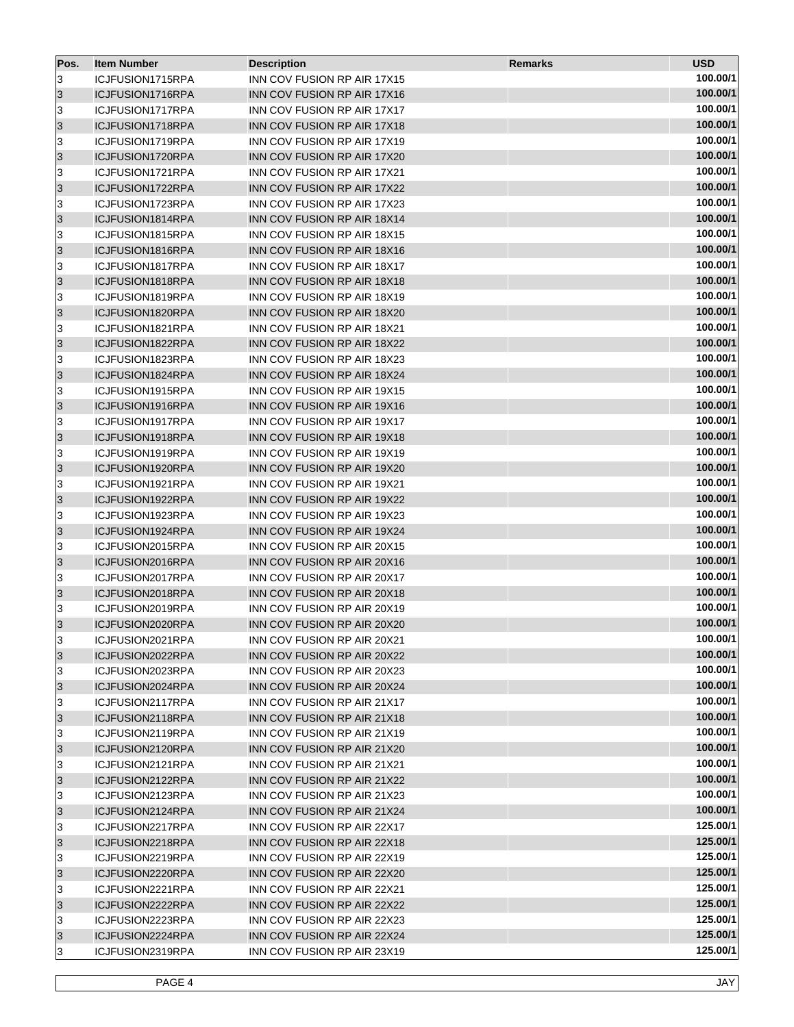| Pos.            | <b>Item Number</b> | <b>Description</b>                 | <b>Remarks</b> | <b>USD</b> |
|-----------------|--------------------|------------------------------------|----------------|------------|
| 3               | ICJFUSION1715RPA   | INN COV FUSION RP AIR 17X15        |                | 100.00/1   |
| 3               | ICJFUSION1716RPA   | INN COV FUSION RP AIR 17X16        |                | 100.00/1   |
| 3               | ICJFUSION1717RPA   | INN COV FUSION RP AIR 17X17        |                | 100.00/1   |
| 3               | ICJFUSION1718RPA   | INN COV FUSION RP AIR 17X18        |                | 100.00/1   |
| 3               | ICJFUSION1719RPA   | INN COV FUSION RP AIR 17X19        |                | 100.00/1   |
| 3               | ICJFUSION1720RPA   | INN COV FUSION RP AIR 17X20        |                | 100.00/1   |
| 3               | ICJFUSION1721RPA   | INN COV FUSION RP AIR 17X21        |                | 100.00/1   |
| 3               | ICJFUSION1722RPA   | INN COV FUSION RP AIR 17X22        |                | 100.00/1   |
| 3               | ICJFUSION1723RPA   | INN COV FUSION RP AIR 17X23        |                | 100.00/1   |
| 3               | ICJFUSION1814RPA   | INN COV FUSION RP AIR 18X14        |                | 100.00/1   |
| 3               | ICJFUSION1815RPA   | INN COV FUSION RP AIR 18X15        |                | 100.00/1   |
| 3               | ICJFUSION1816RPA   | INN COV FUSION RP AIR 18X16        |                | 100.00/1   |
| 3               | ICJFUSION1817RPA   | INN COV FUSION RP AIR 18X17        |                | 100.00/1   |
| 3               | ICJFUSION1818RPA   | INN COV FUSION RP AIR 18X18        |                | 100.00/1   |
| 3               | ICJFUSION1819RPA   | INN COV FUSION RP AIR 18X19        |                | 100.00/1   |
| 3               | ICJFUSION1820RPA   | INN COV FUSION RP AIR 18X20        |                | 100.00/1   |
| 3               | ICJFUSION1821RPA   | INN COV FUSION RP AIR 18X21        |                | 100.00/1   |
| 3               | ICJFUSION1822RPA   | INN COV FUSION RP AIR 18X22        |                | 100.00/1   |
| 3               | ICJFUSION1823RPA   | INN COV FUSION RP AIR 18X23        |                | 100.00/1   |
| 3               | ICJFUSION1824RPA   | INN COV FUSION RP AIR 18X24        |                | 100.00/1   |
| 3               | ICJFUSION1915RPA   | INN COV FUSION RP AIR 19X15        |                | 100.00/1   |
| 3               | ICJFUSION1916RPA   | <b>INN COV FUSION RP AIR 19X16</b> |                | 100.00/1   |
| 3               | ICJFUSION1917RPA   | INN COV FUSION RP AIR 19X17        |                | 100.00/1   |
| 3               | ICJFUSION1918RPA   | INN COV FUSION RP AIR 19X18        |                | 100.00/1   |
| 3               | ICJFUSION1919RPA   | INN COV FUSION RP AIR 19X19        |                | 100.00/1   |
| 3               | ICJFUSION1920RPA   | INN COV FUSION RP AIR 19X20        |                | 100.00/1   |
| 3               | ICJFUSION1921RPA   | INN COV FUSION RP AIR 19X21        |                | 100.00/1   |
| 3               | ICJFUSION1922RPA   | INN COV FUSION RP AIR 19X22        |                | 100.00/1   |
| 3               | ICJFUSION1923RPA   | INN COV FUSION RP AIR 19X23        |                | 100.00/1   |
| 3               | ICJFUSION1924RPA   | INN COV FUSION RP AIR 19X24        |                | 100.00/1   |
| 3               | ICJFUSION2015RPA   | INN COV FUSION RP AIR 20X15        |                | 100.00/1   |
| 3               | ICJFUSION2016RPA   | INN COV FUSION RP AIR 20X16        |                | 100.00/1   |
| 3               | ICJFUSION2017RPA   | INN COV FUSION RP AIR 20X17        |                | 100.00/1   |
| 3               | ICJFUSION2018RPA   | INN COV FUSION RP AIR 20X18        |                | 100.00/1   |
| 3               | ICJFUSION2019RPA   | INN COV FUSION RP AIR 20X19        |                | 100.00/1   |
| $\overline{3}$  | ICJFUSION2020RPA   | INN COV FUSION RP AIR 20X20        |                | 100.00/1   |
| 3               | ICJFUSION2021RPA   | INN COV FUSION RP AIR 20X21        |                | 100.00/1   |
| $\vert 3 \vert$ | ICJFUSION2022RPA   | INN COV FUSION RP AIR 20X22        |                | 100.00/1   |
| 3               | ICJFUSION2023RPA   | INN COV FUSION RP AIR 20X23        |                | 100.00/1   |
| $\vert$ 3       | ICJFUSION2024RPA   | INN COV FUSION RP AIR 20X24        |                | 100.00/1   |
| 3               | ICJFUSION2117RPA   | INN COV FUSION RP AIR 21X17        |                | 100.00/1   |
| $\vert$ 3       | ICJFUSION2118RPA   | INN COV FUSION RP AIR 21X18        |                | 100.00/1   |
| 3               | ICJFUSION2119RPA   | INN COV FUSION RP AIR 21X19        |                | 100.00/1   |
| $\vert$ 3       | ICJFUSION2120RPA   | INN COV FUSION RP AIR 21X20        |                | 100.00/1   |
| 3               | ICJFUSION2121RPA   | INN COV FUSION RP AIR 21X21        |                | 100.00/1   |
| $\vert$ 3       | ICJFUSION2122RPA   | INN COV FUSION RP AIR 21X22        |                | 100.00/1   |
| 3               | ICJFUSION2123RPA   | INN COV FUSION RP AIR 21X23        |                | 100.00/1   |
| $\vert$ 3       | ICJFUSION2124RPA   | INN COV FUSION RP AIR 21X24        |                | 100.00/1   |
| 3               | ICJFUSION2217RPA   | INN COV FUSION RP AIR 22X17        |                | 125.00/1   |
| 3               | ICJFUSION2218RPA   | INN COV FUSION RP AIR 22X18        |                | 125.00/1   |
| 3               | ICJFUSION2219RPA   | INN COV FUSION RP AIR 22X19        |                | 125.00/1   |
| 3               | ICJFUSION2220RPA   | INN COV FUSION RP AIR 22X20        |                | 125.00/1   |
| 3               | ICJFUSION2221RPA   | INN COV FUSION RP AIR 22X21        |                | 125.00/1   |
| 3               | ICJFUSION2222RPA   | INN COV FUSION RP AIR 22X22        |                | 125.00/1   |
| 3               | ICJFUSION2223RPA   | INN COV FUSION RP AIR 22X23        |                | 125.00/1   |
| 3               | ICJFUSION2224RPA   | INN COV FUSION RP AIR 22X24        |                | 125.00/1   |
| 3               | ICJFUSION2319RPA   | INN COV FUSION RP AIR 23X19        |                | 125.00/1   |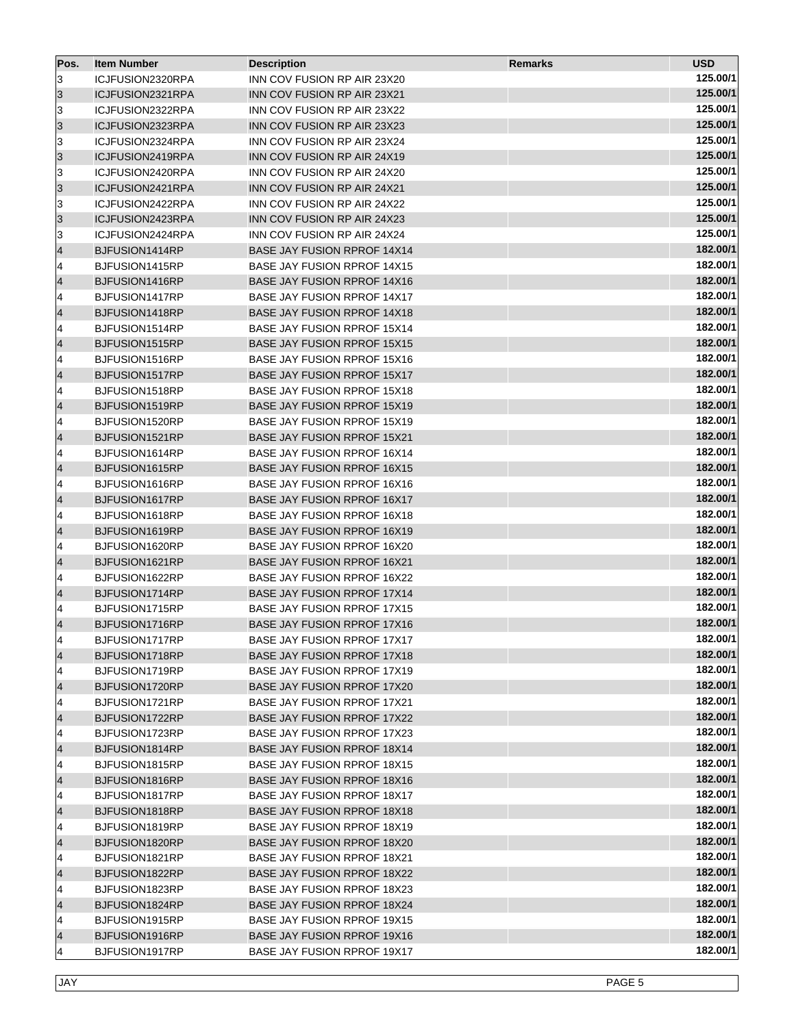| Pos.      | <b>Item Number</b> | <b>Description</b>                 | <b>Remarks</b> | <b>USD</b> |
|-----------|--------------------|------------------------------------|----------------|------------|
| 3         | ICJFUSION2320RPA   | INN COV FUSION RP AIR 23X20        |                | 125.00/1   |
| 3         | ICJFUSION2321RPA   | <b>INN COV FUSION RP AIR 23X21</b> |                | 125.00/1   |
| 3         | ICJFUSION2322RPA   | INN COV FUSION RP AIR 23X22        |                | 125.00/1   |
| 3         | ICJFUSION2323RPA   | INN COV FUSION RP AIR 23X23        |                | 125.00/1   |
| 3         | ICJFUSION2324RPA   | INN COV FUSION RP AIR 23X24        |                | 125.00/1   |
| 3         | ICJFUSION2419RPA   | INN COV FUSION RP AIR 24X19        |                | 125.00/1   |
| 3         | ICJFUSION2420RPA   | INN COV FUSION RP AIR 24X20        |                | 125.00/1   |
| 3         | ICJFUSION2421RPA   | <b>INN COV FUSION RP AIR 24X21</b> |                | 125.00/1   |
| 3         | ICJFUSION2422RPA   | INN COV FUSION RP AIR 24X22        |                | 125.00/1   |
| 3         | ICJFUSION2423RPA   | INN COV FUSION RP AIR 24X23        |                | 125.00/1   |
| 3         | ICJFUSION2424RPA   | INN COV FUSION RP AIR 24X24        |                | 125.00/1   |
| $\vert 4$ | BJFUSION1414RP     | <b>BASE JAY FUSION RPROF 14X14</b> |                | 182.00/1   |
| 4         | BJFUSION1415RP     | BASE JAY FUSION RPROF 14X15        |                | 182.00/1   |
| $\vert 4$ | BJFUSION1416RP     | <b>BASE JAY FUSION RPROF 14X16</b> |                | 182.00/1   |
| 4         | BJFUSION1417RP     | BASE JAY FUSION RPROF 14X17        |                | 182.00/1   |
| $\vert 4$ | BJFUSION1418RP     | <b>BASE JAY FUSION RPROF 14X18</b> |                | 182.00/1   |
| 4         | BJFUSION1514RP     | BASE JAY FUSION RPROF 15X14        |                | 182.00/1   |
| $\vert 4$ | BJFUSION1515RP     | <b>BASE JAY FUSION RPROF 15X15</b> |                | 182.00/1   |
| 4         | BJFUSION1516RP     | BASE JAY FUSION RPROF 15X16        |                | 182.00/1   |
| $\vert 4$ | BJFUSION1517RP     | <b>BASE JAY FUSION RPROF 15X17</b> |                | 182.00/1   |
| 4         | BJFUSION1518RP     | <b>BASE JAY FUSION RPROF 15X18</b> |                | 182.00/1   |
| $\vert 4$ | BJFUSION1519RP     | <b>BASE JAY FUSION RPROF 15X19</b> |                | 182.00/1   |
| 4         | BJFUSION1520RP     | BASE JAY FUSION RPROF 15X19        |                | 182.00/1   |
| $\vert 4$ | BJFUSION1521RP     | <b>BASE JAY FUSION RPROF 15X21</b> |                | 182.00/1   |
| 4         | BJFUSION1614RP     | BASE JAY FUSION RPROF 16X14        |                | 182.00/1   |
| $\vert 4$ | BJFUSION1615RP     | <b>BASE JAY FUSION RPROF 16X15</b> |                | 182.00/1   |
| 4         | BJFUSION1616RP     | BASE JAY FUSION RPROF 16X16        |                | 182.00/1   |
| $\vert 4$ | BJFUSION1617RP     | <b>BASE JAY FUSION RPROF 16X17</b> |                | 182.00/1   |
| 4         | BJFUSION1618RP     | BASE JAY FUSION RPROF 16X18        |                | 182.00/1   |
| $\vert 4$ | BJFUSION1619RP     | <b>BASE JAY FUSION RPROF 16X19</b> |                | 182.00/1   |
| 4         | BJFUSION1620RP     | <b>BASE JAY FUSION RPROF 16X20</b> |                | 182.00/1   |
| $\vert 4$ | BJFUSION1621RP     | <b>BASE JAY FUSION RPROF 16X21</b> |                | 182.00/1   |
| 4         | BJFUSION1622RP     | <b>BASE JAY FUSION RPROF 16X22</b> |                | 182.00/1   |
| $\vert 4$ | BJFUSION1714RP     | <b>BASE JAY FUSION RPROF 17X14</b> |                | 182.00/1   |
| 4         | BJFUSION1715RP     | BASE JAY FUSION RPROF 17X15        |                | 182.00/1   |
| $\vert 4$ | BJFUSION1716RP     | <b>BASE JAY FUSION RPROF 17X16</b> |                | 182.00/1   |
| 4         | BJFUSION1717RP     | BASE JAY FUSION RPROF 17X17        |                | 182.00/1   |
| 4         | BJFUSION1718RP     | <b>BASE JAY FUSION RPROF 17X18</b> |                | 182.00/1   |
| 4         | BJFUSION1719RP     | BASE JAY FUSION RPROF 17X19        |                | 182.00/1   |
| $\vert 4$ | BJFUSION1720RP     | BASE JAY FUSION RPROF 17X20        |                | 182.00/1   |
| 4         | BJFUSION1721RP     | BASE JAY FUSION RPROF 17X21        |                | 182.00/1   |
| $\vert 4$ | BJFUSION1722RP     | <b>BASE JAY FUSION RPROF 17X22</b> |                | 182.00/1   |
| 4         | BJFUSION1723RP     | BASE JAY FUSION RPROF 17X23        |                | 182.00/1   |
| $\vert 4$ | BJFUSION1814RP     | <b>BASE JAY FUSION RPROF 18X14</b> |                | 182.00/1   |
| 4         | BJFUSION1815RP     | BASE JAY FUSION RPROF 18X15        |                | 182.00/1   |
| $\vert 4$ | BJFUSION1816RP     | <b>BASE JAY FUSION RPROF 18X16</b> |                | 182.00/1   |
| 4         | BJFUSION1817RP     | BASE JAY FUSION RPROF 18X17        |                | 182.00/1   |
| $\vert 4$ | BJFUSION1818RP     | <b>BASE JAY FUSION RPROF 18X18</b> |                | 182.00/1   |
| 4         | BJFUSION1819RP     | BASE JAY FUSION RPROF 18X19        |                | 182.00/1   |
| $\vert 4$ | BJFUSION1820RP     | BASE JAY FUSION RPROF 18X20        |                | 182.00/1   |
| 4         | BJFUSION1821RP     | <b>BASE JAY FUSION RPROF 18X21</b> |                | 182.00/1   |
| $\vert 4$ | BJFUSION1822RP     | BASE JAY FUSION RPROF 18X22        |                | 182.00/1   |
| 4         | BJFUSION1823RP     | BASE JAY FUSION RPROF 18X23        |                | 182.00/1   |
| $\vert 4$ | BJFUSION1824RP     | BASE JAY FUSION RPROF 18X24        |                | 182.00/1   |
| 4         | BJFUSION1915RP     | BASE JAY FUSION RPROF 19X15        |                | 182.00/1   |
| $\vert 4$ | BJFUSION1916RP     | <b>BASE JAY FUSION RPROF 19X16</b> |                | 182.00/1   |
| 4         | BJFUSION1917RP     | BASE JAY FUSION RPROF 19X17        |                | 182.00/1   |